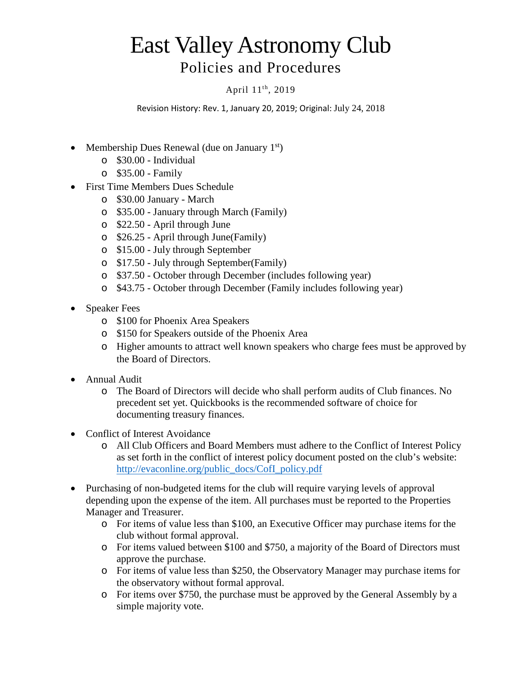## East Valley Astronomy Club Policies and Procedures

## April 11th, 2019

Revision History: Rev. 1, January 20, 2019; Original: July 24, 2018

- Membership Dues Renewal (due on January  $1<sup>st</sup>$ )
	- o \$30.00 Individual
	- o \$35.00 Family
- First Time Members Dues Schedule
	- o \$30.00 January March
	- o \$35.00 January through March (Family)
	- o \$22.50 April through June
	- o \$26.25 April through June(Family)
	- o \$15.00 July through September
	- o \$17.50 July through September(Family)
	- o \$37.50 October through December (includes following year)
	- o \$43.75 October through December (Family includes following year)
- Speaker Fees
	- o \$100 for Phoenix Area Speakers
	- o \$150 for Speakers outside of the Phoenix Area
	- o Higher amounts to attract well known speakers who charge fees must be approved by the Board of Directors.
- Annual Audit
	- o The Board of Directors will decide who shall perform audits of Club finances. No precedent set yet. Quickbooks is the recommended software of choice for documenting treasury finances.
- Conflict of Interest Avoidance
	- o All Club Officers and Board Members must adhere to the Conflict of Interest Policy as set forth in the conflict of interest policy document posted on the club's website: [http://evaconline.org/public\\_docs/CofI\\_policy.pdf](http://evaconline.org/public_docs/CofI_policy.pdf)
- Purchasing of non-budgeted items for the club will require varying levels of approval depending upon the expense of the item. All purchases must be reported to the Properties Manager and Treasurer.
	- o For items of value less than \$100, an Executive Officer may purchase items for the club without formal approval.
	- o For items valued between \$100 and \$750, a majority of the Board of Directors must approve the purchase.
	- o For items of value less than \$250, the Observatory Manager may purchase items for the observatory without formal approval.
	- o For items over \$750, the purchase must be approved by the General Assembly by a simple majority vote.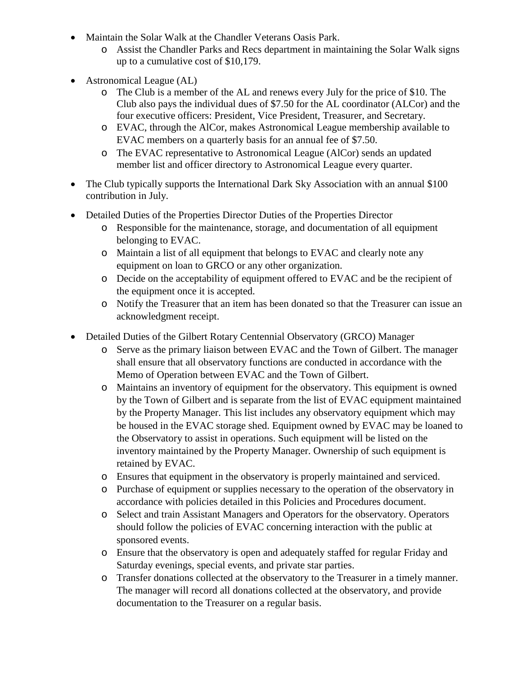- Maintain the Solar Walk at the Chandler Veterans Oasis Park.
	- o Assist the Chandler Parks and Recs department in maintaining the Solar Walk signs up to a cumulative cost of \$10,179.
- Astronomical League (AL)
	- o The Club is a member of the AL and renews every July for the price of \$10. The Club also pays the individual dues of \$7.50 for the AL coordinator (ALCor) and the four executive officers: President, Vice President, Treasurer, and Secretary.
	- o EVAC, through the AlCor, makes Astronomical League membership available to EVAC members on a quarterly basis for an annual fee of \$7.50.
	- o The EVAC representative to Astronomical League (AlCor) sends an updated member list and officer directory to Astronomical League every quarter.
- The Club typically supports the International Dark Sky Association with an annual \$100 contribution in July.
- Detailed Duties of the Properties Director Duties of the Properties Director
	- o Responsible for the maintenance, storage, and documentation of all equipment belonging to EVAC.
	- o Maintain a list of all equipment that belongs to EVAC and clearly note any equipment on loan to GRCO or any other organization.
	- o Decide on the acceptability of equipment offered to EVAC and be the recipient of the equipment once it is accepted.
	- o Notify the Treasurer that an item has been donated so that the Treasurer can issue an acknowledgment receipt.
- Detailed Duties of the Gilbert Rotary Centennial Observatory (GRCO) Manager
	- o Serve as the primary liaison between EVAC and the Town of Gilbert. The manager shall ensure that all observatory functions are conducted in accordance with the Memo of Operation between EVAC and the Town of Gilbert.
	- o Maintains an inventory of equipment for the observatory. This equipment is owned by the Town of Gilbert and is separate from the list of EVAC equipment maintained by the Property Manager. This list includes any observatory equipment which may be housed in the EVAC storage shed. Equipment owned by EVAC may be loaned to the Observatory to assist in operations. Such equipment will be listed on the inventory maintained by the Property Manager. Ownership of such equipment is retained by EVAC.
	- o Ensures that equipment in the observatory is properly maintained and serviced.
	- o Purchase of equipment or supplies necessary to the operation of the observatory in accordance with policies detailed in this Policies and Procedures document.
	- o Select and train Assistant Managers and Operators for the observatory. Operators should follow the policies of EVAC concerning interaction with the public at sponsored events.
	- o Ensure that the observatory is open and adequately staffed for regular Friday and Saturday evenings, special events, and private star parties.
	- o Transfer donations collected at the observatory to the Treasurer in a timely manner. The manager will record all donations collected at the observatory, and provide documentation to the Treasurer on a regular basis.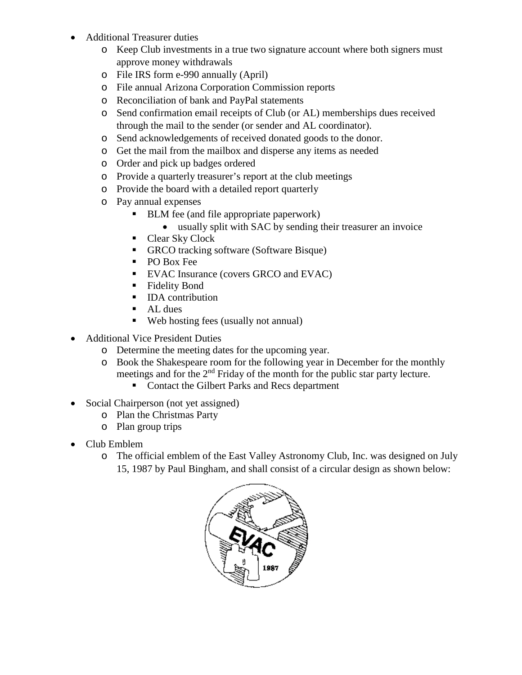- Additional Treasurer duties
	- o Keep Club investments in a true two signature account where both signers must approve money withdrawals
	- o File IRS form e-990 annually (April)
	- o File annual Arizona Corporation Commission reports
	- o Reconciliation of bank and PayPal statements
	- o Send confirmation email receipts of Club (or AL) memberships dues received through the mail to the sender (or sender and AL coordinator).
	- o Send acknowledgements of received donated goods to the donor.
	- o Get the mail from the mailbox and disperse any items as needed
	- o Order and pick up badges ordered
	- o Provide a quarterly treasurer's report at the club meetings
	- o Provide the board with a detailed report quarterly
	- o Pay annual expenses
		- BLM fee (and file appropriate paperwork)
			- usually split with SAC by sending their treasurer an invoice
		- Clear Sky Clock
		- GRCO tracking software (Software Bisque)
		- PO Box Fee
		- **EVAC Insurance (covers GRCO and EVAC)**
		- **Fidelity Bond**
		- **IDA** contribution
		- **AL** dues
		- Web hosting fees (usually not annual)
- Additional Vice President Duties
	- o Determine the meeting dates for the upcoming year.
	- o Book the Shakespeare room for the following year in December for the monthly meetings and for the  $2<sup>nd</sup>$  Friday of the month for the public star party lecture.
		- Contact the Gilbert Parks and Recs department
- Social Chairperson (not yet assigned)
	- o Plan the Christmas Party
	- o Plan group trips
- Club Emblem
	- o The official emblem of the East Valley Astronomy Club, Inc. was designed on July 15, 1987 by Paul Bingham, and shall consist of a circular design as shown below: